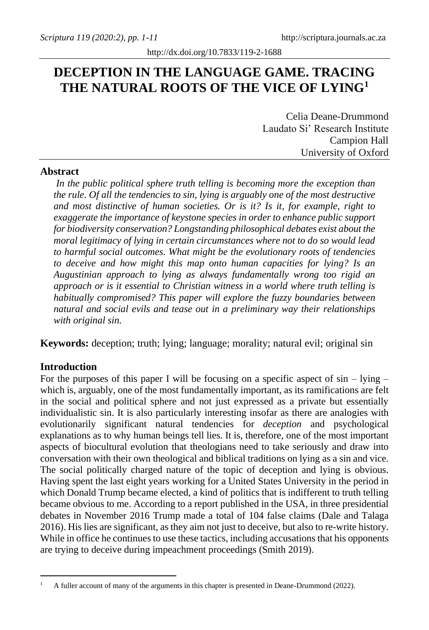# **DECEPTION IN THE LANGUAGE GAME. TRACING THE NATURAL ROOTS OF THE VICE OF LYING<sup>1</sup>**

Celia Deane-Drummond Laudato Si' Research Institute Campion Hall University of Oxford

### **Abstract**

*In the public political sphere truth telling is becoming more the exception than the rule. Of all the tendencies to sin, lying is arguably one of the most destructive and most distinctive of human societies. Or is it? Is it, for example, right to exaggerate the importance of keystone species in order to enhance public support for biodiversity conservation? Longstanding philosophical debates exist about the moral legitimacy of lying in certain circumstances where not to do so would lead to harmful social outcomes. What might be the evolutionary roots of tendencies to deceive and how might this map onto human capacities for lying? Is an Augustinian approach to lying as always fundamentally wrong too rigid an approach or is it essential to Christian witness in a world where truth telling is habitually compromised? This paper will explore the fuzzy boundaries between natural and social evils and tease out in a preliminary way their relationships with original sin.* 

**Keywords:** deception; truth; lying; language; morality; natural evil; original sin

## **Introduction**

For the purposes of this paper I will be focusing on a specific aspect of  $\sin - \frac{1}{\sin 2\pi}$ which is, arguably, one of the most fundamentally important, as its ramifications are felt in the social and political sphere and not just expressed as a private but essentially individualistic sin. It is also particularly interesting insofar as there are analogies with evolutionarily significant natural tendencies for *deception* and psychological explanations as to why human beings tell lies. It is, therefore, one of the most important aspects of biocultural evolution that theologians need to take seriously and draw into conversation with their own theological and biblical traditions on lying as a sin and vice. The social politically charged nature of the topic of deception and lying is obvious. Having spent the last eight years working for a United States University in the period in which Donald Trump became elected, a kind of politics that is indifferent to truth telling became obvious to me. According to a report published in the USA, in three presidential debates in November 2016 Trump made a total of 104 false claims (Dale and Talaga 2016). His lies are significant, as they aim not just to deceive, but also to re-write history. While in office he continues to use these tactics, including accusations that his opponents are trying to deceive during impeachment proceedings (Smith 2019).

<sup>1</sup> A fuller account of many of the arguments in this chapter is presented in Deane-Drummond (2022).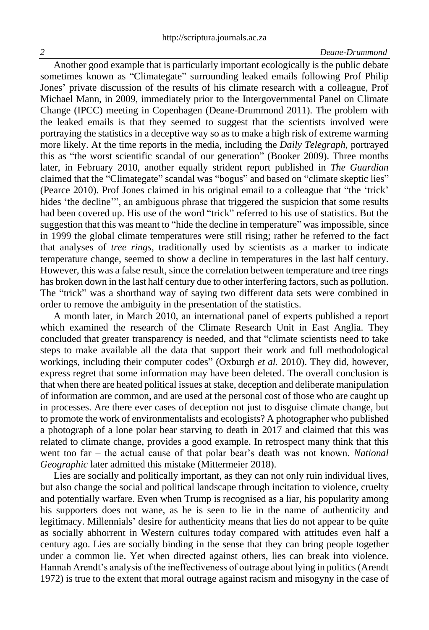#### *2 Deane-Drummond*

Another good example that is particularly important ecologically is the public debate sometimes known as "Climategate" surrounding leaked emails following Prof Philip Jones' private discussion of the results of his climate research with a colleague, Prof Michael Mann, in 2009, immediately prior to the Intergovernmental Panel on Climate Change (IPCC) meeting in Copenhagen (Deane-Drummond 2011). The problem with the leaked emails is that they seemed to suggest that the scientists involved were portraying the statistics in a deceptive way so as to make a high risk of extreme warming more likely. At the time reports in the media, including the *Daily Telegraph*, portrayed this as "the worst scientific scandal of our generation" (Booker 2009). Three months later, in February 2010, another equally strident report published in *The Guardian*  claimed that the "Climategate" scandal was "bogus" and based on "climate skeptic lies" (Pearce 2010). Prof Jones claimed in his original email to a colleague that "the 'trick' hides 'the decline'", an ambiguous phrase that triggered the suspicion that some results had been covered up. His use of the word "trick" referred to his use of statistics. But the suggestion that this was meant to "hide the decline in temperature" was impossible, since in 1999 the global climate temperatures were still rising; rather he referred to the fact that analyses of *tree rings*, traditionally used by scientists as a marker to indicate temperature change*,* seemed to show a decline in temperatures in the last half century. However, this was a false result, since the correlation between temperature and tree rings has broken down in the last half century due to other interfering factors, such as pollution. The "trick" was a shorthand way of saying two different data sets were combined in order to remove the ambiguity in the presentation of the statistics.

A month later, in March 2010, an international panel of experts published a report which examined the research of the Climate Research Unit in East Anglia. They concluded that greater transparency is needed, and that "climate scientists need to take steps to make available all the data that support their work and full methodological workings, including their computer codes" (Oxburgh *et al.* 2010). They did, however, express regret that some information may have been deleted. The overall conclusion is that when there are heated political issues at stake, deception and deliberate manipulation of information are common, and are used at the personal cost of those who are caught up in processes. Are there ever cases of deception not just to disguise climate change, but to promote the work of environmentalists and ecologists? A photographer who published a photograph of a lone polar bear starving to death in 2017 and claimed that this was related to climate change, provides a good example. In retrospect many think that this went too far – the actual cause of that polar bear's death was not known. *National Geographic* later admitted this mistake (Mittermeier 2018).

Lies are socially and politically important, as they can not only ruin individual lives, but also change the social and political landscape through incitation to violence, cruelty and potentially warfare. Even when Trump is recognised as a liar, his popularity among his supporters does not wane, as he is seen to lie in the name of authenticity and legitimacy. Millennials' desire for authenticity means that lies do not appear to be quite as socially abhorrent in Western cultures today compared with attitudes even half a century ago. Lies are socially binding in the sense that they can bring people together under a common lie. Yet when directed against others, lies can break into violence. Hannah Arendt's analysis of the ineffectiveness of outrage about lying in politics(Arendt 1972) is true to the extent that moral outrage against racism and misogyny in the case of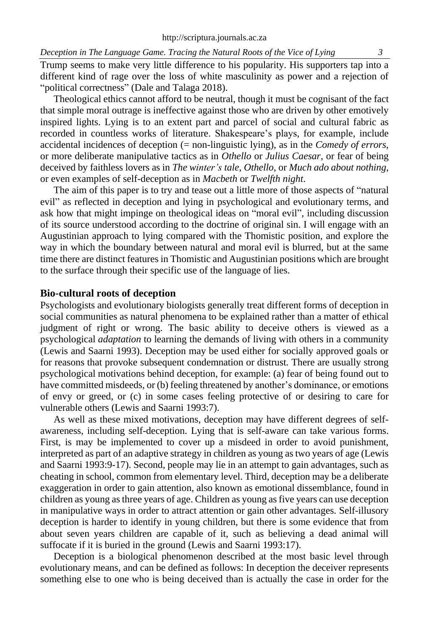#### *Deception in The Language Game. Tracing the Natural Roots of the Vice of Lying 3*

Trump seems to make very little difference to his popularity. His supporters tap into a different kind of rage over the loss of white masculinity as power and a rejection of "political correctness" (Dale and Talaga 2018).

Theological ethics cannot afford to be neutral, though it must be cognisant of the fact that simple moral outrage is ineffective against those who are driven by other emotively inspired lights. Lying is to an extent part and parcel of social and cultural fabric as recorded in countless works of literature. Shakespeare's plays, for example, include accidental incidences of deception (= non-linguistic lying), as in the *Comedy of errors*, or more deliberate manipulative tactics as in *Othello* or *Julius Caesar*, or fear of being deceived by faithless lovers as in *The winter's tale*, *Othello*, or *Much ado about nothing*, or even examples of self-deception as in *Macbeth* or *Twelfth night*.

The aim of this paper is to try and tease out a little more of those aspects of "natural evil" as reflected in deception and lying in psychological and evolutionary terms, and ask how that might impinge on theological ideas on "moral evil", including discussion of its source understood according to the doctrine of original sin. I will engage with an Augustinian approach to lying compared with the Thomistic position, and explore the way in which the boundary between natural and moral evil is blurred, but at the same time there are distinct features in Thomistic and Augustinian positions which are brought to the surface through their specific use of the language of lies.

#### **Bio-cultural roots of deception**

Psychologists and evolutionary biologists generally treat different forms of deception in social communities as natural phenomena to be explained rather than a matter of ethical judgment of right or wrong. The basic ability to deceive others is viewed as a psychological *adaptation* to learning the demands of living with others in a community (Lewis and Saarni 1993). Deception may be used either for socially approved goals or for reasons that provoke subsequent condemnation or distrust. There are usually strong psychological motivations behind deception, for example: (a) fear of being found out to have committed misdeeds, or (b) feeling threatened by another's dominance, or emotions of envy or greed, or (c) in some cases feeling protective of or desiring to care for vulnerable others (Lewis and Saarni 1993:7).

As well as these mixed motivations, deception may have different degrees of selfawareness, including self-deception. Lying that is self-aware can take various forms. First, is may be implemented to cover up a misdeed in order to avoid punishment, interpreted as part of an adaptive strategy in children as young as two years of age (Lewis and Saarni 1993:9-17). Second, people may lie in an attempt to gain advantages, such as cheating in school, common from elementary level. Third, deception may be a deliberate exaggeration in order to gain attention, also known as emotional dissemblance, found in children as young as three years of age. Children as young as five years can use deception in manipulative ways in order to attract attention or gain other advantages. Self-illusory deception is harder to identify in young children, but there is some evidence that from about seven years children are capable of it, such as believing a dead animal will suffocate if it is buried in the ground (Lewis and Saarni 1993:17).

Deception is a biological phenomenon described at the most basic level through evolutionary means, and can be defined as follows: In deception the deceiver represents something else to one who is being deceived than is actually the case in order for the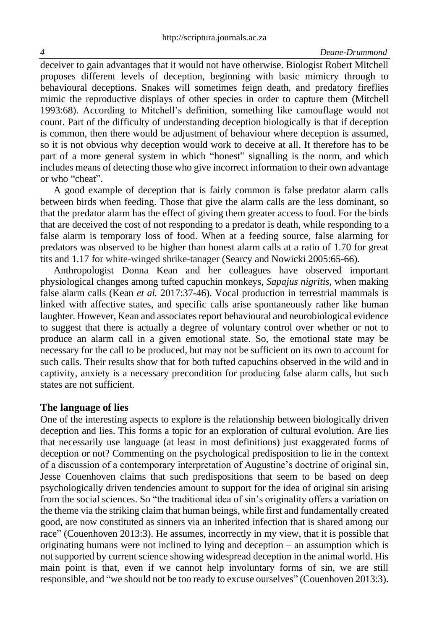#### *4 Deane-Drummond*

deceiver to gain advantages that it would not have otherwise. Biologist Robert Mitchell proposes different levels of deception, beginning with basic mimicry through to behavioural deceptions. Snakes will sometimes feign death, and predatory fireflies mimic the reproductive displays of other species in order to capture them (Mitchell 1993:68). According to Mitchell's definition, something like camouflage would not count. Part of the difficulty of understanding deception biologically is that if deception is common, then there would be adjustment of behaviour where deception is assumed, so it is not obvious why deception would work to deceive at all. It therefore has to be part of a more general system in which "honest" signalling is the norm, and which includes means of detecting those who give incorrect information to their own advantage or who "cheat".

A good example of deception that is fairly common is false predator alarm calls between birds when feeding. Those that give the alarm calls are the less dominant, so that the predator alarm has the effect of giving them greater access to food. For the birds that are deceived the cost of not responding to a predator is death, while responding to a false alarm is temporary loss of food. When at a feeding source, false alarming for predators was observed to be higher than honest alarm calls at a ratio of 1.70 for great tits and 1.17 for white-winged shrike-tanager (Searcy and Nowicki 2005:65-66).

Anthropologist Donna Kean and her colleagues have observed important physiological changes among tufted capuchin monkeys, *Sapajus nigritis*, when making false alarm calls (Kean *et al.* 2017:37-46). Vocal production in terrestrial mammals is linked with affective states, and specific calls arise spontaneously rather like human laughter. However, Kean and associates report behavioural and neurobiological evidence to suggest that there is actually a degree of voluntary control over whether or not to produce an alarm call in a given emotional state. So, the emotional state may be necessary for the call to be produced, but may not be sufficient on its own to account for such calls. Their results show that for both tufted capuchins observed in the wild and in captivity, anxiety is a necessary precondition for producing false alarm calls, but such states are not sufficient.

#### **The language of lies**

One of the interesting aspects to explore is the relationship between biologically driven deception and lies. This forms a topic for an exploration of cultural evolution. Are lies that necessarily use language (at least in most definitions) just exaggerated forms of deception or not? Commenting on the psychological predisposition to lie in the context of a discussion of a contemporary interpretation of Augustine's doctrine of original sin, Jesse Couenhoven claims that such predispositions that seem to be based on deep psychologically driven tendencies amount to support for the idea of original sin arising from the social sciences. So "the traditional idea of sin's originality offers a variation on the theme via the striking claim that human beings, while first and fundamentally created good, are now constituted as sinners via an inherited infection that is shared among our race" (Couenhoven 2013:3). He assumes, incorrectly in my view, that it is possible that originating humans were not inclined to lying and deception – an assumption which is not supported by current science showing widespread deception in the animal world. His main point is that, even if we cannot help involuntary forms of sin, we are still responsible, and "we should not be too ready to excuse ourselves" (Couenhoven 2013:3).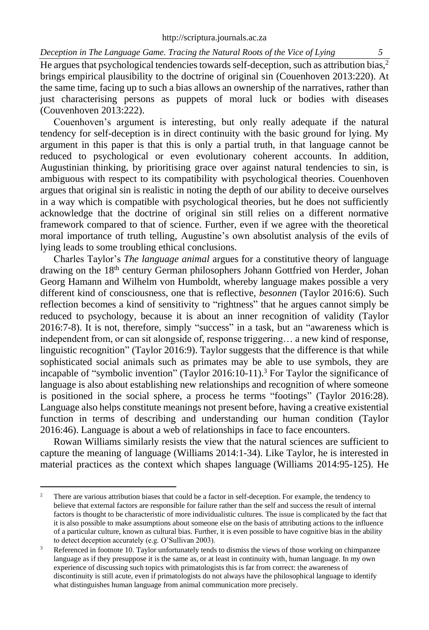*Deception in The Language Game. Tracing the Natural Roots of the Vice of Lying* 

He argues that psychological tendencies towards self-deception, such as attribution bias, 2 brings empirical plausibility to the doctrine of original sin (Couenhoven 2013:220). At the same time, facing up to such a bias allows an ownership of the narratives, rather than just characterising persons as puppets of moral luck or bodies with diseases (Couvenhoven 2013:222).

Couenhoven's argument is interesting, but only really adequate if the natural tendency for self-deception is in direct continuity with the basic ground for lying. My argument in this paper is that this is only a partial truth, in that language cannot be reduced to psychological or even evolutionary coherent accounts. In addition, Augustinian thinking, by prioritising grace over against natural tendencies to sin, is ambiguous with respect to its compatibility with psychological theories. Couenhoven argues that original sin is realistic in noting the depth of our ability to deceive ourselves in a way which is compatible with psychological theories, but he does not sufficiently acknowledge that the doctrine of original sin still relies on a different normative framework compared to that of science. Further, even if we agree with the theoretical moral importance of truth telling, Augustine's own absolutist analysis of the evils of lying leads to some troubling ethical conclusions.

Charles Taylor's *The language animal* argues for a constitutive theory of language drawing on the 18th century German philosophers Johann Gottfried von Herder, Johan Georg Hamann and Wilhelm von Humboldt, whereby language makes possible a very different kind of consciousness, one that is reflective, *besonnen* (Taylor 2016:6). Such reflection becomes a kind of sensitivity to "rightness" that he argues cannot simply be reduced to psychology, because it is about an inner recognition of validity (Taylor 2016:7-8). It is not, therefore, simply "success" in a task, but an "awareness which is independent from, or can sit alongside of, response triggering… a new kind of response, linguistic recognition" (Taylor 2016:9). Taylor suggests that the difference is that while sophisticated social animals such as primates may be able to use symbols, they are incapable of "symbolic invention" (Taylor 2016:10-11).<sup>3</sup> For Taylor the significance of language is also about establishing new relationships and recognition of where someone is positioned in the social sphere, a process he terms "footings" (Taylor 2016:28). Language also helps constitute meanings not present before, having a creative existential function in terms of describing and understanding our human condition (Taylor 2016:46). Language is about a web of relationships in face to face encounters.

Rowan Williams similarly resists the view that the natural sciences are sufficient to capture the meaning of language (Williams 2014:1-34). Like Taylor, he is interested in material practices as the context which shapes language (Williams 2014:95-125). He

<sup>&</sup>lt;sup>2</sup> There are various attribution biases that could be a factor in self-deception. For example, the tendency to believe that external factors are responsible for failure rather than the self and success the result of internal factors is thought to be characteristic of more individualistic cultures. The issue is complicated by the fact that it is also possible to make assumptions about someone else on the basis of attributing actions to the influence of a particular culture, known as cultural bias. Further, it is even possible to have cognitive bias in the ability to detect deception accurately (e.g. O'Sullivan 2003).

Referenced in footnote 10. Taylor unfortunately tends to dismiss the views of those working on chimpanzee language as if they presuppose it is the same as, or at least in continuity with, human language. In my own experience of discussing such topics with primatologists this is far from correct: the awareness of discontinuity is still acute, even if primatologists do not always have the philosophical language to identify what distinguishes human language from animal communication more precisely.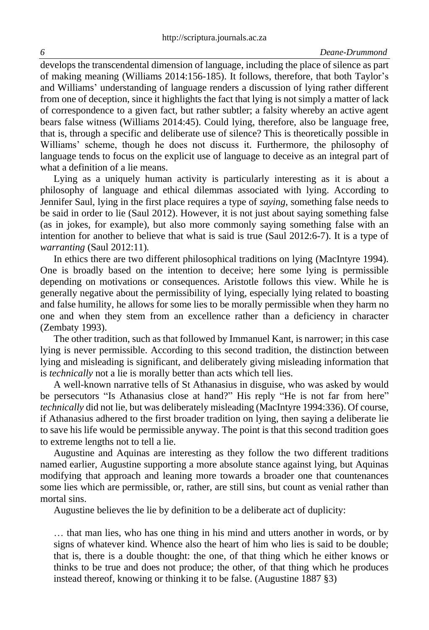develops the transcendental dimension of language, including the place of silence as part of making meaning (Williams 2014:156-185). It follows, therefore, that both Taylor's and Williams' understanding of language renders a discussion of lying rather different from one of deception, since it highlights the fact that lying is not simply a matter of lack of correspondence to a given fact, but rather subtler; a falsity whereby an active agent bears false witness (Williams 2014:45). Could lying, therefore, also be language free, that is, through a specific and deliberate use of silence? This is theoretically possible in Williams' scheme, though he does not discuss it. Furthermore, the philosophy of language tends to focus on the explicit use of language to deceive as an integral part of what a definition of a lie means.

Lying as a uniquely human activity is particularly interesting as it is about a philosophy of language and ethical dilemmas associated with lying. According to Jennifer Saul, lying in the first place requires a type of *saying*, something false needs to be said in order to lie (Saul 2012). However, it is not just about saying something false (as in jokes, for example), but also more commonly saying something false with an intention for another to believe that what is said is true (Saul 2012:6-7). It is a type of *warranting* (Saul 2012:11)*.* 

In ethics there are two different philosophical traditions on lying (MacIntyre 1994). One is broadly based on the intention to deceive; here some lying is permissible depending on motivations or consequences. Aristotle follows this view. While he is generally negative about the permissibility of lying, especially lying related to boasting and false humility, he allows for some lies to be morally permissible when they harm no one and when they stem from an excellence rather than a deficiency in character (Zembaty 1993).

The other tradition, such as that followed by Immanuel Kant, is narrower; in this case lying is never permissible. According to this second tradition, the distinction between lying and misleading is significant, and deliberately giving misleading information that is *technically* not a lie is morally better than acts which tell lies.

A well-known narrative tells of St Athanasius in disguise, who was asked by would be persecutors "Is Athanasius close at hand?" His reply "He is not far from here" *technically* did not lie, but was deliberately misleading (MacIntyre 1994:336). Of course, if Athanasius adhered to the first broader tradition on lying, then saying a deliberate lie to save his life would be permissible anyway. The point is that this second tradition goes to extreme lengths not to tell a lie.

Augustine and Aquinas are interesting as they follow the two different traditions named earlier, Augustine supporting a more absolute stance against lying, but Aquinas modifying that approach and leaning more towards a broader one that countenances some lies which are permissible, or, rather, are still sins, but count as venial rather than mortal sins.

Augustine believes the lie by definition to be a deliberate act of duplicity:

… that man lies, who has one thing in his mind and utters another in words, or by signs of whatever kind. Whence also the heart of him who lies is said to be double; that is, there is a double thought: the one, of that thing which he either knows or thinks to be true and does not produce; the other, of that thing which he produces instead thereof, knowing or thinking it to be false. (Augustine 1887 §3)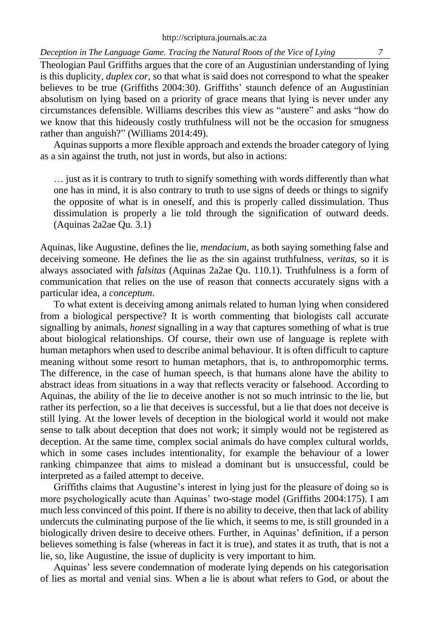*Deception in The Language Game. Tracing the Natural Roots of the Vice of Lying 7*

Theologian Paul Griffiths argues that the core of an Augustinian understanding of lying is this duplicity, *duplex cor*, so that what is said does not correspond to what the speaker believes to be true (Griffiths 2004:30). Griffiths' staunch defence of an Augustinian absolutism on lying based on a priority of grace means that lying is never under any circumstances defensible. Williams describes this view as "austere" and asks "how do we know that this hideously costly truthfulness will not be the occasion for smugness rather than anguish?" (Williams 2014:49).

Aquinas supports a more flexible approach and extends the broader category of lying as a sin against the truth, not just in words, but also in actions:

… just as it is contrary to truth to signify something with words differently than what one has in mind, it is also contrary to truth to use signs of deeds or things to signify the opposite of what is in oneself, and this is properly called dissimulation. Thus dissimulation is properly a lie told through the signification of outward deeds. (Aquinas 2a2ae Qu. 3.1)

Aquinas, like Augustine, defines the lie, *mendacium*, as both saying something false and deceiving someone. He defines the lie as the sin against truthfulness, *veritas*, so it is always associated with *falsitas* (Aquinas 2a2ae Qu. 110.1). Truthfulness is a form of communication that relies on the use of reason that connects accurately signs with a particular idea, a *conceptum*.

To what extent is deceiving among animals related to human lying when considered from a biological perspective? It is worth commenting that biologists call accurate signalling by animals, *honest* signalling in a way that captures something of what is true about biological relationships. Of course, their own use of language is replete with human metaphors when used to describe animal behaviour. It is often difficult to capture meaning without some resort to human metaphors, that is, to anthropomorphic terms. The difference, in the case of human speech, is that humans alone have the ability to abstract ideas from situations in a way that reflects veracity or falsehood. According to Aquinas, the ability of the lie to deceive another is not so much intrinsic to the lie, but rather its perfection, so a lie that deceives is successful, but a lie that does not deceive is still lying. At the lower levels of deception in the biological world it would not make sense to talk about deception that does not work; it simply would not be registered as deception. At the same time, complex social animals do have complex cultural worlds, which in some cases includes intentionality, for example the behaviour of a lower ranking chimpanzee that aims to mislead a dominant but is unsuccessful, could be interpreted as a failed attempt to deceive.

Griffiths claims that Augustine's interest in lying just for the pleasure of doing so is more psychologically acute than Aquinas' two-stage model (Griffiths 2004:175). I am much less convinced of this point. If there is no ability to deceive, then that lack of ability undercuts the culminating purpose of the lie which, it seems to me, is still grounded in a biologically driven desire to deceive others. Further, in Aquinas' definition, if a person believes something is false (whereas in fact it is true), and states it as truth, that is not a lie, so, like Augustine, the issue of duplicity is very important to him.

Aquinas' less severe condemnation of moderate lying depends on his categorisation of lies as mortal and venial sins. When a lie is about what refers to God, or about the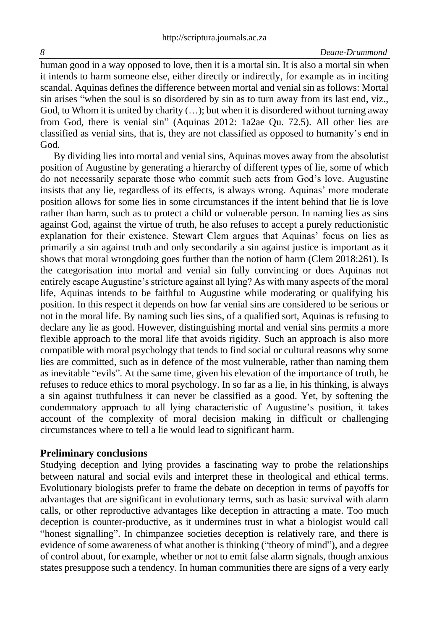human good in a way opposed to love, then it is a mortal sin. It is also a mortal sin when it intends to harm someone else, either directly or indirectly, for example as in inciting scandal. Aquinas defines the difference between mortal and venial sin as follows: Mortal sin arises "when the soul is so disordered by sin as to turn away from its last end, viz., God, to Whom it is united by charity  $(...)$ ; but when it is disordered without turning away from God, there is venial sin" (Aquinas 2012: 1a2ae Qu. 72.5). All other lies are classified as venial sins, that is, they are not classified as opposed to humanity's end in God.

By dividing lies into mortal and venial sins, Aquinas moves away from the absolutist position of Augustine by generating a hierarchy of different types of lie, some of which do not necessarily separate those who commit such acts from God's love. Augustine insists that any lie, regardless of its effects, is always wrong. Aquinas' more moderate position allows for some lies in some circumstances if the intent behind that lie is love rather than harm, such as to protect a child or vulnerable person. In naming lies as sins against God, against the virtue of truth, he also refuses to accept a purely reductionistic explanation for their existence. Stewart Clem argues that Aquinas' focus on lies as primarily a sin against truth and only secondarily a sin against justice is important as it shows that moral wrongdoing goes further than the notion of harm (Clem 2018:261). Is the categorisation into mortal and venial sin fully convincing or does Aquinas not entirely escape Augustine's stricture against all lying? As with many aspects of the moral life, Aquinas intends to be faithful to Augustine while moderating or qualifying his position. In this respect it depends on how far venial sins are considered to be serious or not in the moral life. By naming such lies sins, of a qualified sort, Aquinas is refusing to declare any lie as good. However, distinguishing mortal and venial sins permits a more flexible approach to the moral life that avoids rigidity. Such an approach is also more compatible with moral psychology that tends to find social or cultural reasons why some lies are committed, such as in defence of the most vulnerable, rather than naming them as inevitable "evils". At the same time, given his elevation of the importance of truth, he refuses to reduce ethics to moral psychology. In so far as a lie, in his thinking, is always a sin against truthfulness it can never be classified as a good. Yet, by softening the condemnatory approach to all lying characteristic of Augustine's position, it takes account of the complexity of moral decision making in difficult or challenging circumstances where to tell a lie would lead to significant harm.

#### **Preliminary conclusions**

Studying deception and lying provides a fascinating way to probe the relationships between natural and social evils and interpret these in theological and ethical terms. Evolutionary biologists prefer to frame the debate on deception in terms of payoffs for advantages that are significant in evolutionary terms, such as basic survival with alarm calls, or other reproductive advantages like deception in attracting a mate. Too much deception is counter-productive, as it undermines trust in what a biologist would call "honest signalling". In chimpanzee societies deception is relatively rare, and there is evidence of some awareness of what another is thinking ("theory of mind"), and a degree of control about, for example, whether or not to emit false alarm signals, though anxious states presuppose such a tendency. In human communities there are signs of a very early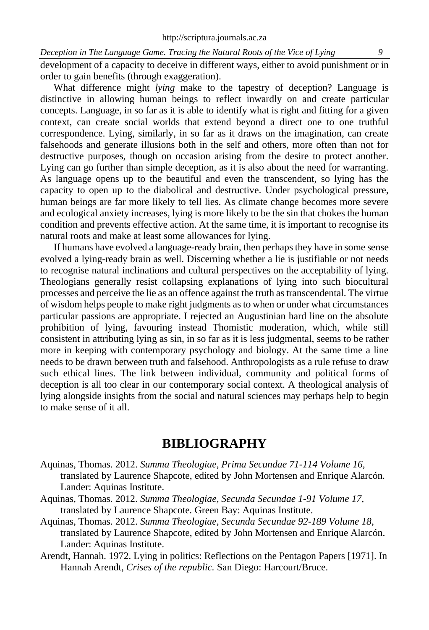*Deception in The Language Game. Tracing the Natural Roots of the Vice of Lying* development of a capacity to deceive in different ways, either to avoid punishment or in order to gain benefits (through exaggeration).

What difference might *lying* make to the tapestry of deception? Language is distinctive in allowing human beings to reflect inwardly on and create particular concepts. Language, in so far as it is able to identify what is right and fitting for a given context, can create social worlds that extend beyond a direct one to one truthful correspondence. Lying, similarly, in so far as it draws on the imagination, can create falsehoods and generate illusions both in the self and others, more often than not for destructive purposes, though on occasion arising from the desire to protect another. Lying can go further than simple deception, as it is also about the need for warranting. As language opens up to the beautiful and even the transcendent, so lying has the capacity to open up to the diabolical and destructive. Under psychological pressure, human beings are far more likely to tell lies. As climate change becomes more severe and ecological anxiety increases, lying is more likely to be the sin that chokes the human condition and prevents effective action. At the same time, it is important to recognise its natural roots and make at least some allowances for lying.

If humans have evolved a language-ready brain, then perhaps they have in some sense evolved a lying-ready brain as well. Discerning whether a lie is justifiable or not needs to recognise natural inclinations and cultural perspectives on the acceptability of lying. Theologians generally resist collapsing explanations of lying into such biocultural processes and perceive the lie as an offence against the truth as transcendental. The virtue of wisdom helps people to make right judgments as to when or under what circumstances particular passions are appropriate. I rejected an Augustinian hard line on the absolute prohibition of lying, favouring instead Thomistic moderation, which, while still consistent in attributing lying as sin, in so far as it is less judgmental, seems to be rather more in keeping with contemporary psychology and biology. At the same time a line needs to be drawn between truth and falsehood. Anthropologists as a rule refuse to draw such ethical lines. The link between individual, community and political forms of deception is all too clear in our contemporary social context. A theological analysis of lying alongside insights from the social and natural sciences may perhaps help to begin to make sense of it all.

## **BIBLIOGRAPHY**

- Aquinas, Thomas. 2012. *Summa Theologiae, Prima Secundae 71-114 Volume 16,*  translated by Laurence Shapcote, edited by John Mortensen and Enrique Alarcón*.* Lander: Aquinas Institute.
- Aquinas, Thomas. 2012. *Summa Theologiae, Secunda Secundae 1-91 Volume 17,*  translated by Laurence Shapcote*.* Green Bay: Aquinas Institute.
- Aquinas, Thomas. 2012. *Summa Theologiae, Secunda Secundae 92-189 Volume 18,* translated by Laurence Shapcote, edited by John Mortensen and Enrique Alarcón. Lander: Aquinas Institute.
- Arendt, Hannah. 1972. Lying in politics: Reflections on the Pentagon Papers [1971]. In Hannah Arendt, *Crises of the republic.* San Diego: Harcourt/Bruce.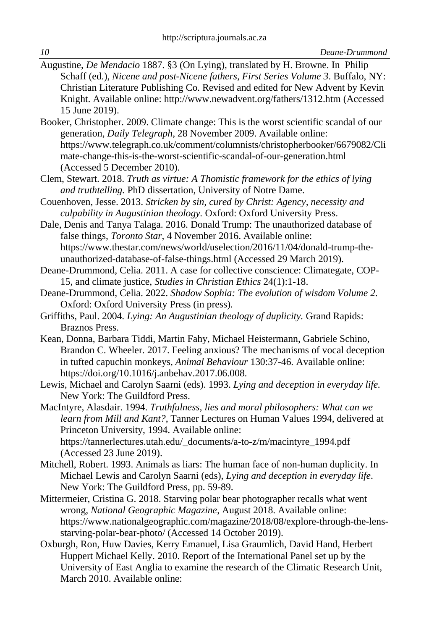- Augustine, *De Mendacio* 1887. §3 (On Lying), translated by H. Browne. In Philip Schaff (ed.), *Nicene and post-Nicene fathers, First Series Volume 3*. Buffalo, NY: Christian Literature Publishing Co. Revised and edited for New Advent by Kevin Knight. Available online:<http://www.newadvent.org/fathers/1312.htm> (Accessed 15 June 2019).
- Booker, Christopher. 2009. Climate change: This is the worst scientific scandal of our generation, *Daily Telegraph*, 28 November 2009. Available online: [https://www.telegraph.co.uk/comment/columnists/christopherbooker/6679082/Cli](https://www.telegraph.co.uk/comment/columnists/christopherbooker/6679082/Climate-change-this-is-the-worst-scientific-scandal-of-our-generation.html) [mate-change-this-is-the-worst-scientific-scandal-of-our-generation.html](https://www.telegraph.co.uk/comment/columnists/christopherbooker/6679082/Climate-change-this-is-the-worst-scientific-scandal-of-our-generation.html) (Accessed 5 December 2010).
- Clem, Stewart. 2018. *Truth as virtue: A Thomistic framework for the ethics of lying and truthtelling.* PhD dissertation, University of Notre Dame.
- Couenhoven, Jesse. 2013. *Stricken by sin, cured by Christ: Agency, necessity and culpability in Augustinian theology.* Oxford: Oxford University Press.
- Dale, Denis and Tanya Talaga. 2016. Donald Trump: The unauthorized database of false things, *Toronto Star*, 4 November 2016. Available online: [https://www.thestar.com/news/world/uselection/2016/11/04/donald-trump-the](https://www.thestar.com/news/world/uselection/2016/11/04/donald-trump-the-unauthorized-database-of-false-things.html)[unauthorized-database-of-false-things.html](https://www.thestar.com/news/world/uselection/2016/11/04/donald-trump-the-unauthorized-database-of-false-things.html) (Accessed 29 March 2019).
- Deane-Drummond, Celia. 2011. A case for collective conscience: Climategate, COP-15, and climate justice, *Studies in Christian Ethics* 24(1):1-18.
- Deane-Drummond, Celia. 2022. *Shadow Sophia: The evolution of wisdom Volume 2.* Oxford: Oxford University Press (in press)*.*
- Griffiths, Paul. 2004. *Lying: An Augustinian theology of duplicity.* Grand Rapids: Braznos Press.
- Kean, Donna, Barbara Tiddi, Martin Fahy, Michael Heistermann, Gabriele Schino, Brandon C. Wheeler. 2017. Feeling anxious? The mechanisms of vocal deception in tufted capuchin monkeys, *Animal Behaviour* 130:37-46. Available online: [https://doi.org/10.1016/j.anbehav.2017.06.008.](https://doi.org/10.1016/j.anbehav.2017.06.008)
- Lewis, Michael and Carolyn Saarni (eds). 1993. *Lying and deception in everyday life.* New York: The Guildford Press.

MacIntyre, Alasdair. 1994. *Truthfulness, lies and moral philosophers: What can we learn from Mill and Kant?*, Tanner Lectures on Human Values 1994, delivered at Princeton University, 1994. Available online: [https://tannerlectures.utah.edu/\\_documents/a-to-z/m/macintyre\\_1994.pdf](https://tannerlectures.utah.edu/_documents/a-to-z/m/macintyre_1994.pdf) (Accessed 23 June 2019).

- Mitchell, Robert. 1993. Animals as liars: The human face of non-human duplicity. In Michael Lewis and Carolyn Saarni (eds), *Lying and deception in everyday life*. New York: The Guildford Press, pp. 59-89.
- Mittermeier, Cristina G. 2018. Starving polar bear photographer recalls what went wrong, *National Geographic Magazine*, August 2018. Available online: [https://www.nationalgeographic.com/magazine/2018/08/explore-through-the-lens](https://www.nationalgeographic.com/magazine/2018/08/explore-through-the-lens-starving-polar-bear-photo/)[starving-polar-bear-photo/](https://www.nationalgeographic.com/magazine/2018/08/explore-through-the-lens-starving-polar-bear-photo/) (Accessed 14 October 2019).
- Oxburgh, Ron, Huw Davies, Kerry Emanuel, Lisa Graumlich, David Hand, Herbert Huppert Michael Kelly. 2010. Report of the International Panel set up by the University of East Anglia to examine the research of the Climatic Research Unit, March 2010. Available online: